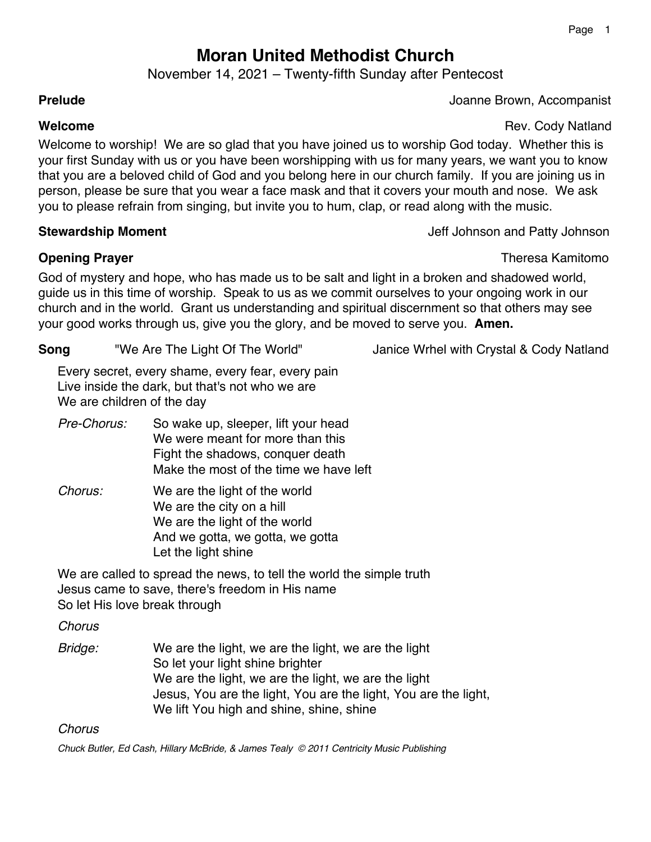# **Moran United Methodist Church**

November 14, 2021 – Twenty-fifth Sunday after Pentecost

**Prelude** Joanne Brown, Accompanist

**Welcome Rev. Cody Natland Rev. Cody Natland** 

Welcome to worship! We are so glad that you have joined us to worship God today. Whether this is your first Sunday with us or you have been worshipping with us for many years, we want you to know that you are a beloved child of God and you belong here in our church family. If you are joining us in person, please be sure that you wear a face mask and that it covers your mouth and nose. We ask you to please refrain from singing, but invite you to hum, clap, or read along with the music.

# **Stewardship Moment** Moment Allowsom and Patty Johnson and Patty Johnson and Patty Johnson and Patty Johnson

**Opening Prayer** Theresa Kamitomo

God of mystery and hope, who has made us to be salt and light in a broken and shadowed world, guide us in this time of worship. Speak to us as we commit ourselves to your ongoing work in our church and in the world. Grant us understanding and spiritual discernment so that others may see your good works through us, give you the glory, and be moved to serve you. **Amen.**

| <b>Song</b> | "We Are The Light Of The World" | Janice Wrhel with Crystal & Cody Natland |
|-------------|---------------------------------|------------------------------------------|
|             |                                 |                                          |

Every secret, every shame, every fear, every pain Live inside the dark, but that's not who we are We are children of the day

- *Pre-Chorus:* So wake up, sleeper, lift your head We were meant for more than this Fight the shadows, conquer death Make the most of the time we have left
- *Chorus:* We are the light of the world We are the city on a hill We are the light of the world And we gotta, we gotta, we gotta Let the light shine

We are called to spread the news, to tell the world the simple truth Jesus came to save, there's freedom in His name So let His love break through

*Chorus*

*Bridge:* We are the light, we are the light, we are the light So let your light shine brighter We are the light, we are the light, we are the light Jesus, You are the light, You are the light, You are the light, We lift You high and shine, shine, shine

*Chorus*

*Chuck Butler, Ed Cash, Hillary McBride, & James Tealy © 2011 Centricity Music Publishing*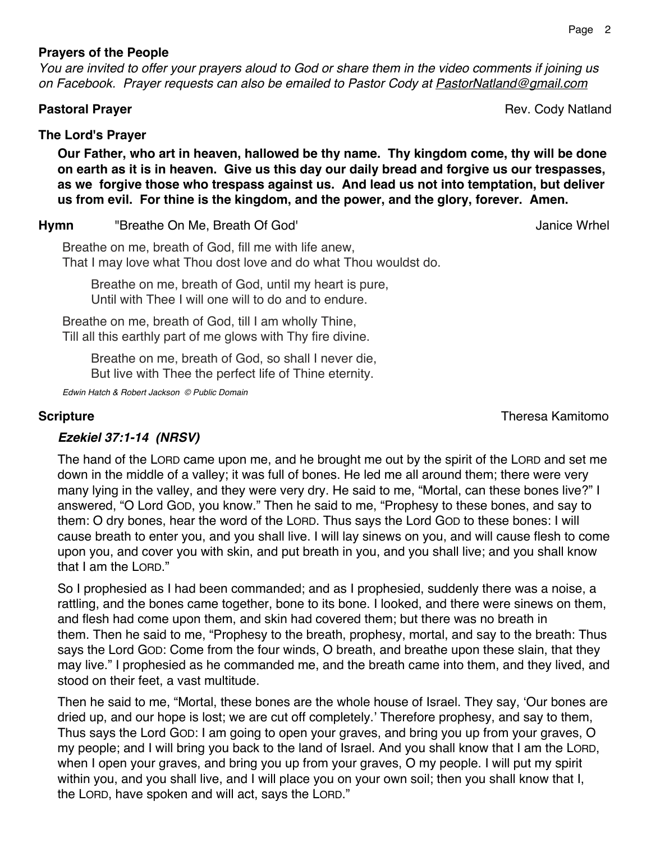#### **Prayers of the People**

*You are invited to offer your prayers aloud to God or share them in the video comments if joining us on Facebook. Prayer requests can also be emailed to Pastor Cody at PastorNatland@gmail.com*

### **The Lord's Prayer**

**Our Father, who art in heaven, hallowed be thy name. Thy kingdom come, thy will be done on earth as it is in heaven. Give us this day our daily bread and forgive us our trespasses, as we forgive those who trespass against us. And lead us not into temptation, but deliver us from evil. For thine is the kingdom, and the power, and the glory, forever. Amen.**

**Hymn** "Breathe On Me, Breath Of God' Janice Wrhel

Breathe on me, breath of God, fill me with life anew, That I may love what Thou dost love and do what Thou wouldst do.

Breathe on me, breath of God, until my heart is pure, Until with Thee I will one will to do and to endure.

Breathe on me, breath of God, till I am wholly Thine, Till all this earthly part of me glows with Thy fire divine.

Breathe on me, breath of God, so shall I never die, But live with Thee the perfect life of Thine eternity.

*Edwin Hatch & Robert Jackson © Public Domain*

**Scripture** Theresa Kamitomo

# *Ezekiel 37:1-14 (NRSV)*

The hand of the LORD came upon me, and he brought me out by the spirit of the LORD and set me down in the middle of a valley; it was full of bones. He led me all around them; there were very many lying in the valley, and they were very dry. He said to me, "Mortal, can these bones live?" I answered, "O Lord GOD, you know." Then he said to me, "Prophesy to these bones, and say to them: O dry bones, hear the word of the LORD. Thus says the Lord GOD to these bones: I will cause breath to enter you, and you shall live. I will lay sinews on you, and will cause flesh to come upon you, and cover you with skin, and put breath in you, and you shall live; and you shall know that I am the LORD."

So I prophesied as I had been commanded; and as I prophesied, suddenly there was a noise, a rattling, and the bones came together, bone to its bone. I looked, and there were sinews on them, and flesh had come upon them, and skin had covered them; but there was no breath in them. Then he said to me, "Prophesy to the breath, prophesy, mortal, and say to the breath: Thus says the Lord GOD: Come from the four winds, O breath, and breathe upon these slain, that they may live." I prophesied as he commanded me, and the breath came into them, and they lived, and stood on their feet, a vast multitude.

Then he said to me, "Mortal, these bones are the whole house of Israel. They say, 'Our bones are dried up, and our hope is lost; we are cut off completely.' Therefore prophesy, and say to them, Thus says the Lord GOD: I am going to open your graves, and bring you up from your graves, O my people; and I will bring you back to the land of Israel. And you shall know that I am the LORD, when I open your graves, and bring you up from your graves, O my people. I will put my spirit within you, and you shall live, and I will place you on your own soil; then you shall know that I, the LORD, have spoken and will act, says the LORD."

**Pastoral Prayer Community Community Community Pastoral Prayer Properties According to Properties According Properties According Properties According Properties According Properties According Properties According Propertie**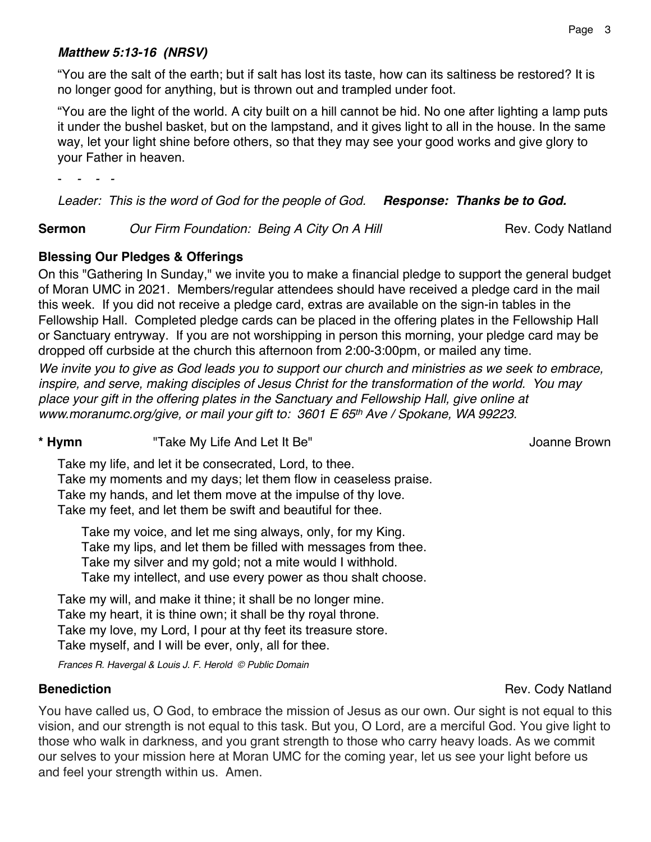### *Matthew 5:13-16 (NRSV)*

"You are the salt of the earth; but if salt has lost its taste, how can its saltiness be restored? It is no longer good for anything, but is thrown out and trampled under foot.

"You are the light of the world. A city built on a hill cannot be hid. No one after lighting a lamp puts it under the bushel basket, but on the lampstand, and it gives light to all in the house. In the same way, let your light shine before others, so that they may see your good works and give glory to your Father in heaven.

- *- - -*

*Leader: This is the word of God for the people of God. Response: Thanks be to God.*

**Sermon** *Our Firm Foundation: Being A City On A Hill* **Rev. Cody Natland** 

## **Blessing Our Pledges & Offerings**

On this "Gathering In Sunday," we invite you to make a financial pledge to support the general budget of Moran UMC in 2021. Members/regular attendees should have received a pledge card in the mail this week. If you did not receive a pledge card, extras are available on the sign-in tables in the Fellowship Hall. Completed pledge cards can be placed in the offering plates in the Fellowship Hall or Sanctuary entryway. If you are not worshipping in person this morning, your pledge card may be dropped off curbside at the church this afternoon from 2:00-3:00pm, or mailed any time.

*We invite you to give as God leads you to support our church and ministries as we seek to embrace, inspire, and serve, making disciples of Jesus Christ for the transformation of the world. You may place your gift in the offering plates in the Sanctuary and Fellowship Hall, give online at www.moranumc.org/give, or mail your gift to: 3601 E 65th Ave / Spokane, WA 99223.*

### \* **Hymn** Take My Life And Let It Be" and the state of the state of the state of the state of the state of the state of the state of the state of the state of the state of the state of the state of the state of the state of

Take my life, and let it be consecrated, Lord, to thee. Take my moments and my days; let them flow in ceaseless praise. Take my hands, and let them move at the impulse of thy love. Take my feet, and let them be swift and beautiful for thee.

Take my voice, and let me sing always, only, for my King. Take my lips, and let them be filled with messages from thee. Take my silver and my gold; not a mite would I withhold. Take my intellect, and use every power as thou shalt choose.

Take my will, and make it thine; it shall be no longer mine. Take my heart, it is thine own; it shall be thy royal throne. Take my love, my Lord, I pour at thy feet its treasure store. Take myself, and I will be ever, only, all for thee.

*Frances R. Havergal & Louis J. F. Herold © Public Domain*

You have called us, O God, to embrace the mission of Jesus as our own. Our sight is not equal to this vision, and our strength is not equal to this task. But you, O Lord, are a merciful God. You give light to those who walk in darkness, and you grant strength to those who carry heavy loads. As we commit our selves to your mission here at Moran UMC for the coming year, let us see your light before us and feel your strength within us. Amen.

# **Benediction** Rev. Cody Natland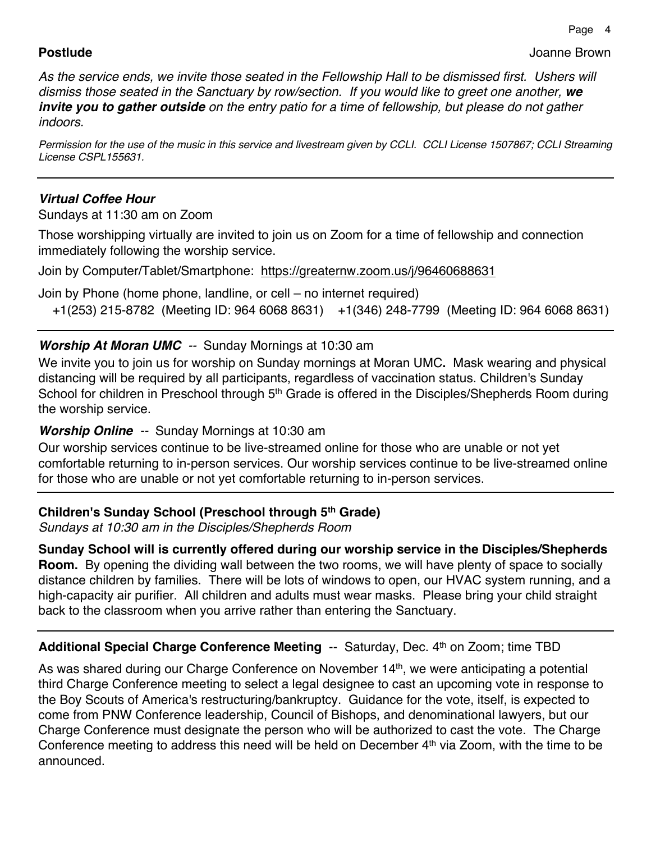**Postlude** Joanne Brown

*As the service ends, we invite those seated in the Fellowship Hall to be dismissed first. Ushers will dismiss those seated in the Sanctuary by row/section. If you would like to greet one another, we invite you to gather outside on the entry patio for a time of fellowship, but please do not gather indoors.*

*Permission for the use of the music in this service and livestream given by CCLI. CCLI License 1507867; CCLI Streaming License CSPL155631.*

# *Virtual Coffee Hour*

Sundays at 11:30 am on Zoom

Those worshipping virtually are invited to join us on Zoom for a time of fellowship and connection immediately following the worship service.

Join by Computer/Tablet/Smartphone: https://greaternw.zoom.us/j/96460688631

Join by Phone (home phone, landline, or cell – no internet required) +1(253) 215-8782 (Meeting ID: 964 6068 8631) +1(346) 248-7799 (Meeting ID: 964 6068 8631)

# *Worship At Moran UMC --* Sunday Mornings at 10:30 am

We invite you to join us for worship on Sunday mornings at Moran UMC**.** Mask wearing and physical distancing will be required by all participants, regardless of vaccination status. Children's Sunday School for children in Preschool through 5<sup>th</sup> Grade is offered in the Disciples/Shepherds Room during the worship service.

# *Worship Online --* Sunday Mornings at 10:30 am

Our worship services continue to be live-streamed online for those who are unable or not yet comfortable returning to in-person services. Our worship services continue to be live-streamed online for those who are unable or not yet comfortable returning to in-person services.

# **Children's Sunday School (Preschool through 5th Grade)**

*Sundays at 10:30 am in the Disciples/Shepherds Room*

**Sunday School will is currently offered during our worship service in the Disciples/Shepherds Room.** By opening the dividing wall between the two rooms, we will have plenty of space to socially distance children by families. There will be lots of windows to open, our HVAC system running, and a high-capacity air purifier. All children and adults must wear masks. Please bring your child straight back to the classroom when you arrive rather than entering the Sanctuary.

# **Additional Special Charge Conference Meeting -- Saturday, Dec. 4<sup>th</sup> on Zoom; time TBD**

As was shared during our Charge Conference on November 14<sup>th</sup>, we were anticipating a potential third Charge Conference meeting to select a legal designee to cast an upcoming vote in response to the Boy Scouts of America's restructuring/bankruptcy. Guidance for the vote, itself, is expected to come from PNW Conference leadership, Council of Bishops, and denominational lawyers, but our Charge Conference must designate the person who will be authorized to cast the vote. The Charge Conference meeting to address this need will be held on December 4<sup>th</sup> via Zoom, with the time to be announced.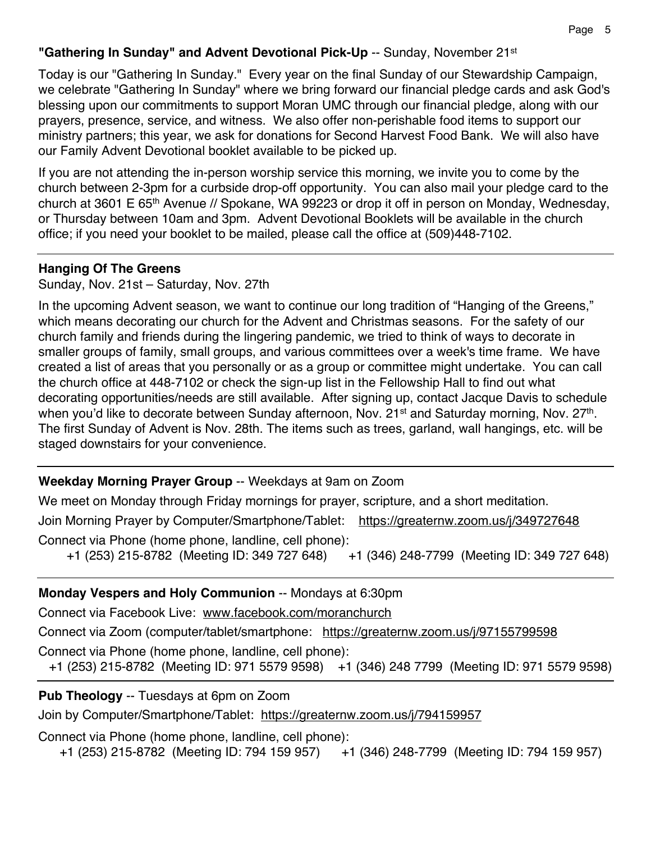## **"Gathering In Sunday" and Advent Devotional Pick-Up** -- Sunday, November 21st

Today is our "Gathering In Sunday." Every year on the final Sunday of our Stewardship Campaign, we celebrate "Gathering In Sunday" where we bring forward our financial pledge cards and ask God's blessing upon our commitments to support Moran UMC through our financial pledge, along with our prayers, presence, service, and witness. We also offer non-perishable food items to support our ministry partners; this year, we ask for donations for Second Harvest Food Bank. We will also have our Family Advent Devotional booklet available to be picked up.

If you are not attending the in-person worship service this morning, we invite you to come by the church between 2-3pm for a curbside drop-off opportunity. You can also mail your pledge card to the church at 3601 E 65th Avenue // Spokane, WA 99223 or drop it off in person on Monday, Wednesday, or Thursday between 10am and 3pm. Advent Devotional Booklets will be available in the church office; if you need your booklet to be mailed, please call the office at (509)448-7102.

#### **Hanging Of The Greens**

Sunday, Nov. 21st – Saturday, Nov. 27th

In the upcoming Advent season, we want to continue our long tradition of "Hanging of the Greens," which means decorating our church for the Advent and Christmas seasons. For the safety of our church family and friends during the lingering pandemic, we tried to think of ways to decorate in smaller groups of family, small groups, and various committees over a week's time frame. We have created a list of areas that you personally or as a group or committee might undertake. You can call the church office at 448-7102 or check the sign-up list in the Fellowship Hall to find out what decorating opportunities/needs are still available. After signing up, contact Jacque Davis to schedule when you'd like to decorate between Sunday afternoon, Nov. 21<sup>st</sup> and Saturday morning, Nov. 27<sup>th</sup>. The first Sunday of Advent is Nov. 28th. The items such as trees, garland, wall hangings, etc. will be staged downstairs for your convenience.

### **Weekday Morning Prayer Group** -- Weekdays at 9am on Zoom

We meet on Monday through Friday mornings for prayer, scripture, and a short meditation. Join Morning Prayer by Computer/Smartphone/Tablet: https://greaternw.zoom.us/j/349727648 Connect via Phone (home phone, landline, cell phone): +1 (253) 215-8782 (Meeting ID: 349 727 648) +1 (346) 248-7799 (Meeting ID: 349 727 648)

#### **Monday Vespers and Holy Communion** -- Mondays at 6:30pm

Connect via Facebook Live: www.facebook.com/moranchurch

Connect via Zoom (computer/tablet/smartphone: https://greaternw.zoom.us/j/97155799598

Connect via Phone (home phone, landline, cell phone):

+1 (253) 215-8782 (Meeting ID: 971 5579 9598) +1 (346) 248 7799 (Meeting ID: 971 5579 9598)

### **Pub Theology** -- Tuesdays at 6pm on Zoom

Join by Computer/Smartphone/Tablet: https://greaternw.zoom.us/j/794159957

Connect via Phone (home phone, landline, cell phone):

+1 (253) 215-8782 (Meeting ID: 794 159 957) +1 (346) 248-7799 (Meeting ID: 794 159 957)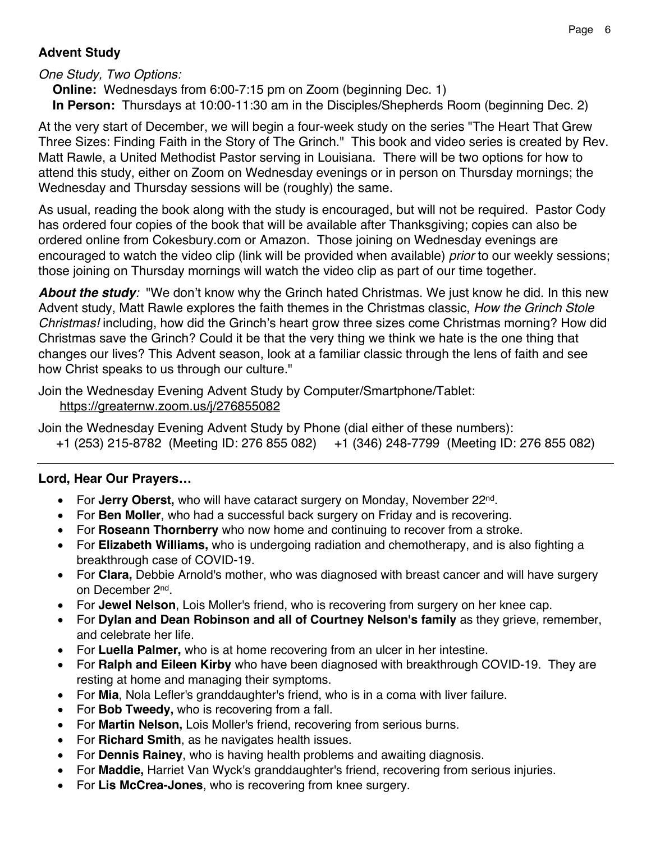# **Advent Study**

### *One Study, Two Options:*

 **Online:** Wednesdays from 6:00-7:15 pm on Zoom (beginning Dec. 1) **In Person:** Thursdays at 10:00-11:30 am in the Disciples/Shepherds Room (beginning Dec. 2)

At the very start of December, we will begin a four-week study on the series "The Heart That Grew Three Sizes: Finding Faith in the Story of The Grinch." This book and video series is created by Rev. Matt Rawle, a United Methodist Pastor serving in Louisiana. There will be two options for how to attend this study, either on Zoom on Wednesday evenings or in person on Thursday mornings; the Wednesday and Thursday sessions will be (roughly) the same.

As usual, reading the book along with the study is encouraged, but will not be required. Pastor Cody has ordered four copies of the book that will be available after Thanksgiving; copies can also be ordered online from Cokesbury.com or Amazon. Those joining on Wednesday evenings are encouraged to watch the video clip (link will be provided when available) *prior* to our weekly sessions; those joining on Thursday mornings will watch the video clip as part of our time together.

*About the study:* "We don't know why the Grinch hated Christmas. We just know he did. In this new Advent study, Matt Rawle explores the faith themes in the Christmas classic, *How the Grinch Stole Christmas!* including, how did the Grinch's heart grow three sizes come Christmas morning? How did Christmas save the Grinch? Could it be that the very thing we think we hate is the one thing that changes our lives? This Advent season, look at a familiar classic through the lens of faith and see how Christ speaks to us through our culture."

Join the Wednesday Evening Advent Study by Computer/Smartphone/Tablet: https://greaternw.zoom.us/j/276855082

Join the Wednesday Evening Advent Study by Phone (dial either of these numbers):

+1 (253) 215-8782 (Meeting ID: 276 855 082) +1 (346) 248-7799 (Meeting ID: 276 855 082)

# **Lord, Hear Our Prayers…**

- For **Jerry Oberst,** who will have cataract surgery on Monday, November 22nd.
- For **Ben Moller**, who had a successful back surgery on Friday and is recovering.
- For **Roseann Thornberry** who now home and continuing to recover from a stroke.
- For **Elizabeth Williams,** who is undergoing radiation and chemotherapy, and is also fighting a breakthrough case of COVID-19.
- For **Clara,** Debbie Arnold's mother, who was diagnosed with breast cancer and will have surgery on December 2nd.
- For **Jewel Nelson**, Lois Moller's friend, who is recovering from surgery on her knee cap.
- For **Dylan and Dean Robinson and all of Courtney Nelson's family** as they grieve, remember, and celebrate her life.
- For **Luella Palmer,** who is at home recovering from an ulcer in her intestine.
- For **Ralph and Eileen Kirby** who have been diagnosed with breakthrough COVID-19. They are resting at home and managing their symptoms.
- For **Mia**, Nola Lefler's granddaughter's friend, who is in a coma with liver failure.
- For **Bob Tweedy,** who is recovering from a fall.
- For **Martin Nelson,** Lois Moller's friend, recovering from serious burns.
- For **Richard Smith**, as he navigates health issues.
- For **Dennis Rainey**, who is having health problems and awaiting diagnosis.
- For **Maddie,** Harriet Van Wyck's granddaughter's friend, recovering from serious injuries.
- For **Lis McCrea-Jones**, who is recovering from knee surgery.